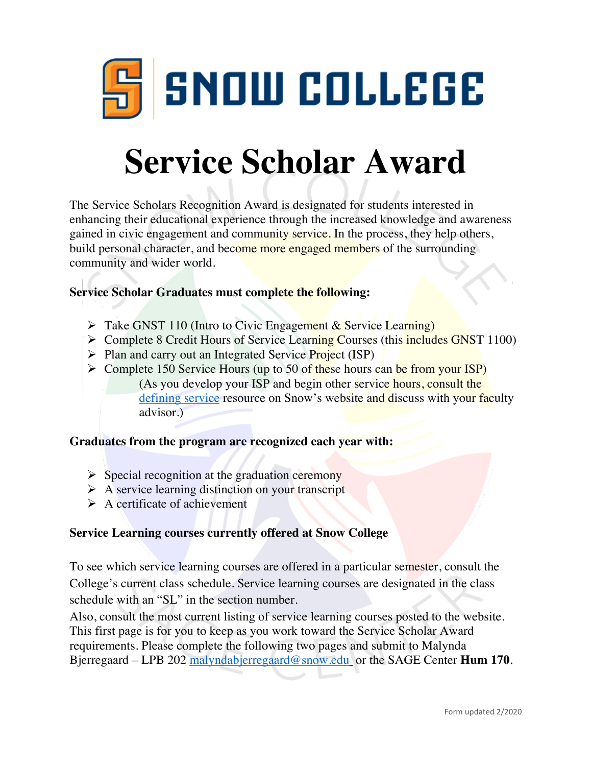

# **Service Scholar Award**

The Service Scholars Recognition Award is designated for students interested in enhancing their educational experience through the increased knowledge and awareness gained in civic engagement and community service. In the process, they help others, build personal character, and become more engaged members of the surrounding community and wider world.

#### **Service Scholar Graduates must complete the following:**

- $\triangleright$  Take GNST 110 (Intro to Civic Engagement & Service Learning)
- $\triangleright$  Complete 8 Credit Hours of Service Learning Courses (this includes GNST 1100)
- $\triangleright$  Plan and carry out an Integrated Service Project (ISP)
- $\triangleright$  Complete 150 Service Hours (up to 50 of these hours can be from your ISP) (As you develop your ISP and begin other service hours, consult the defining service resource on Snow's website and discuss with your faculty advisor.)

#### **Graduates from the program are recognized each year with:**

- $\triangleright$  Special recognition at the graduation ceremony
- $\triangleright$  A service learning distinction on your transcript
- $\triangleright$  A certificate of achievement

#### **Service Learning courses currently offered at Snow College**

To see which service learning courses are offered in a particular semester, consult the College's current class schedule. Service learning courses are designated in the class schedule with an "SL" in the section number.

Also, consult the most current listing of service learning courses posted to the website. This first page is for you to keep as you work toward the Service Scholar Award requirements. Please complete the following two pages and submit to Malynda Bjerregaard – LPB 202 malyndabjerregaard@snow.edu or the SAGE Center **Hum 170**.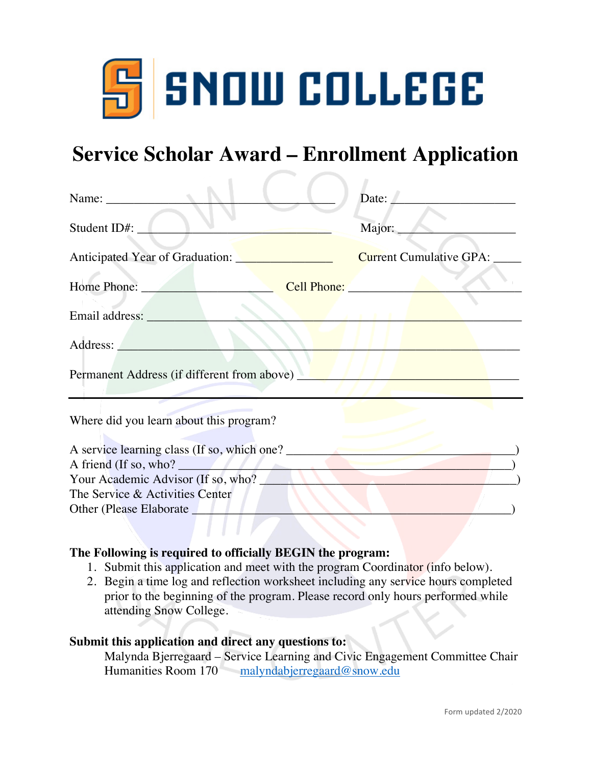

## **Service Scholar Award – Enrollment Application**

| Name: Name and the set of the set of the set of the set of the set of the set of the set of the set of the set of the set of the set of the set of the set of the set of the set of the set of the set of the set of the set o       | Date:                          |
|--------------------------------------------------------------------------------------------------------------------------------------------------------------------------------------------------------------------------------------|--------------------------------|
| Student ID#:                                                                                                                                                                                                                         | Major:                         |
| Anticipated Year of Graduation: <u>New York: New York: New York: New York: New York: New York: New York: New York: New York: New York: New York: New York: New York: New York: New York: New York: New York: New York: New York:</u> | <b>Current Cumulative GPA:</b> |
| Home Phone: Cell Phone:                                                                                                                                                                                                              |                                |
|                                                                                                                                                                                                                                      |                                |
|                                                                                                                                                                                                                                      |                                |
| Permanent Address (if different from above)                                                                                                                                                                                          |                                |
| Where did you learn about this program?                                                                                                                                                                                              |                                |
| A service learning class (If so, which one?                                                                                                                                                                                          |                                |
| A friend (If so, who?                                                                                                                                                                                                                |                                |
| Your Academic Advisor (If so, who?                                                                                                                                                                                                   |                                |
| The Service & Activities Center                                                                                                                                                                                                      |                                |
| Other (Please Elaborate                                                                                                                                                                                                              |                                |

#### **The Following is required to officially BEGIN the program:**

- 1. Submit this application and meet with the program Coordinator (info below).
- 2. Begin a time log and reflection worksheet including any service hours completed prior to the beginning of the program. Please record only hours performed while attending Snow College.

#### **Submit this application and direct any questions to:**

Malynda Bjerregaard – Service Learning and Civic Engagement Committee Chair Humanities Room 170 malyndabjerregaard@snow.edu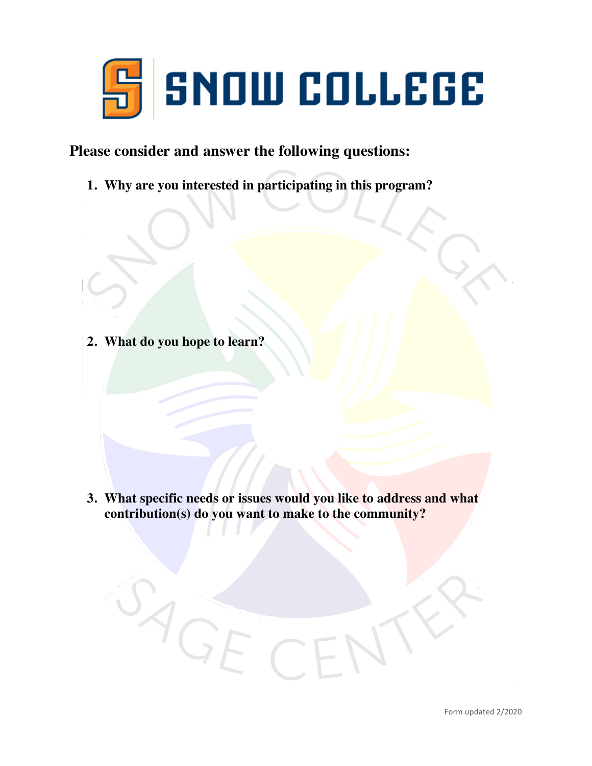

#### **Please consider and answer the following questions:**

**1. Why are you interested in participating in this program?**

**2. What do you hope to learn?**

AGE

**3. What specific needs or issues would you like to address and what contribution(s) do you want to make to the community?**

CE